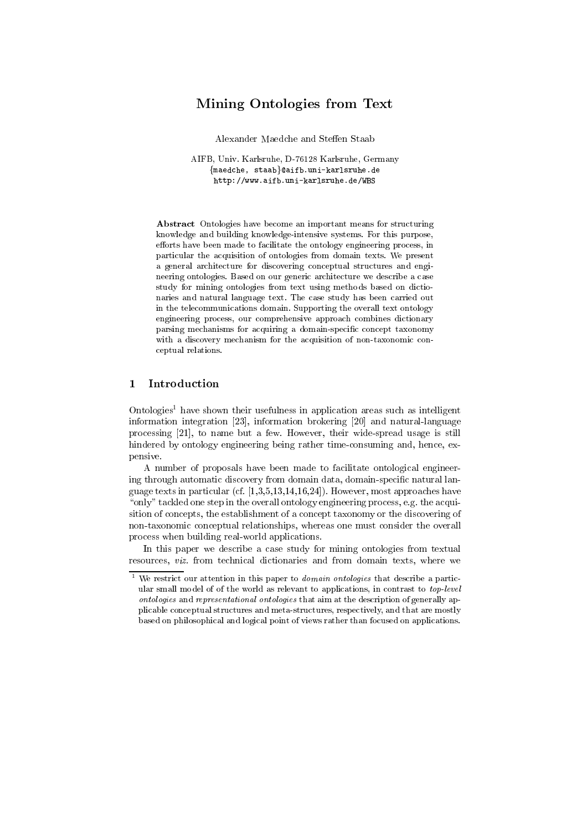# Mining Ontologies from Text

Alexander Maedche and Steffen Staab

AIFB, Univ. Karlsruhe, D-76128 Karlsruhe, Germany {maedche, staab}@aifb.uni-karlsruhe.de http://www.aifb.uni-karlsruhe.de/WBS

Abstract Ontologies have become an important means for structuring knowledge and building knowledge-intensive systems. For this purpose, efforts have been made to facilitate the ontology engineering process, in particular the acquisition of ontologies from domain texts. We present a general architecture for discovering conceptual structures and engineering ontologies. Based on our generic architecture we describe a case study for mining ontologies from text using methods based on dictionaries and natural language text. The case study has been carried out in the telecommunications domain. Supporting the overall text ontology engineering process, our comprehensive approach combines dictionary parsing mechanisms for acquiring a domain-specic concept taxonomy with a discovery mechanism for the acquisition of non-taxonomic conceptual relations.

## <sup>1</sup> Introduction

Ontologies<sup>1</sup> have shown their usefulness in application areas such as intelligent information integration [23], information brokering [20] and natural-language processing [21], to name but a few. However, their wide-spread usage is still hindered by ontology engineering being rather time-consuming and, hence, expensive.

A number of proposals have been made to facilitate ontological engineering through automatic discovery from domain data, domain-specic natural language texts in particular (cf. [1,3,5,13,14,16,24]). However, most approaches have " only" tackled one step in the overall ontology engineering process, e.g. the acquisition of concepts, the establishment of a concept taxonomy or the discovering of non-taxonomic conceptual relationships, whereas one must consider the overall process when building real-world applications.

In this paper we describe a case study for mining ontologies from textual resources, viz. from technical dictionaries and from domain texts, where we

 $\,$  We restrict our attention in this paper to *domain ontologies* that describe a particular small model of of the world as relevant to applications, in contrast to top-level ontologies and representational ontologies that aim at the description of generally applicable conceptual structures and meta-structures, respectively, and that are mostly based on philosophical and logical point of views rather than focused on applications.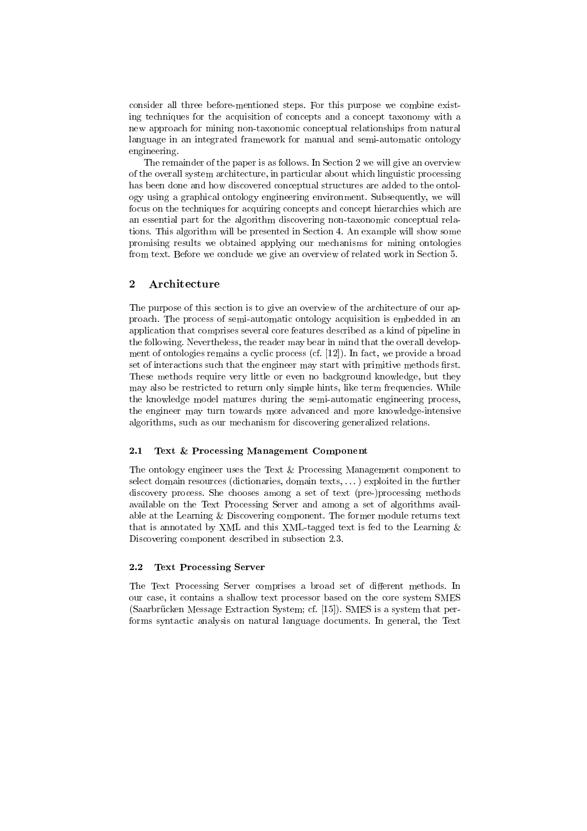consider all three before-mentioned steps. For this purpose we combine existing techniques for the acquisition of concepts and a concept taxonomy with a new approach for mining non-taxonomic conceptual relationships from natural language in an integrated framework for manual and semi-automatic ontology engineering.

The remainder of the paper is as follows. In Section 2 we will give an overview of the overall system architecture, in particular about which linguistic processing has been done and how discovered conceptual structures are added to the ontology using a graphical ontology engineering environment. Subsequently, we will focus on the techniques for acquiring concepts and concept hierarchies which are an essential part for the algorithm discovering non-taxonomic conceptual relations. This algorithm will be presented in Section 4. An example will show some promising results we obtained applying our mechanisms for mining ontologies from text. Before we conclude we give an overview of related work in Section 5.

### $\overline{2}$ **Architecture**

The purpose of this section is to give an overview of the architecture of our approach. The process of semi-automatic ontology acquisition is embedded in an application that comprises several core features described as a kind of pipeline in the following. Nevertheless, the reader may bear in mind that the overall development of ontologies remains a cyclic process (cf. [12]). In fact, we provide a broad set of interactions such that the engineer may start with primitive methods first. These methods require very little or even no background knowledge, but they may also be restricted to return only simple hints, like term frequencies. While the knowledge model matures during the semi-automatic engineering process, the engineer may turn towards more advanced and more knowledge-intensive algorithms, such as our mechanism for discovering generalized relations.

### 2.1Text & Processing Management Component

The ontology engineer uses the Text & Processing Management component to select domain resources (dictionaries, domain texts, . . . ) exploited in the further discovery process. She chooses among a set of text (pre-)processing methods available on the Text Processing Server and among a set of algorithms available at the Learning & Discovering component. The former module returns text that is annotated by XML and this XML-tagged text is fed to the Learning & Discovering component described in subsection 2.3.

### 2.2Text Processing Server

The Text Processing Server comprises a broad set of different methods. In our case, it contains a shallow text processor based on the core system SMES (Saarbrücken Message Extraction System; cf. [15]). SMES is a system that performs syntactic analysis on natural language documents. In general, the Text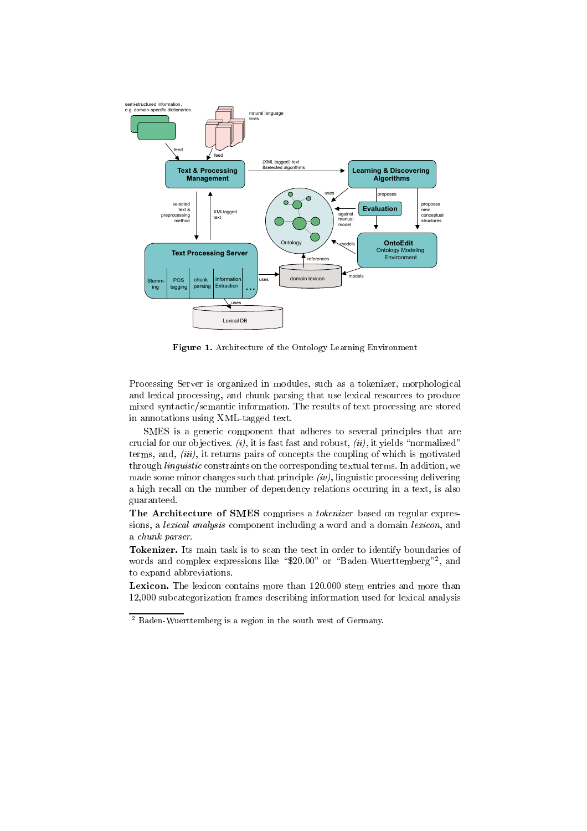

Figure 1. Architecture of the Ontology Learning Environment

Processing Server is organized in modules, such as <sup>a</sup> tokenizer, morphological and lexical processing, and chunk parsing that use lexical resources to producemixed syntactic/semantic information. The results of text processing are storedin annotations using XML-tagged text.

SMES isa generic component that adheres to several principles that are crucial for our ob jectives. (i), it is fast fast and robust, (ii), it yields \normalized" terms, and, (iii), it returns pairs of concepts the coupling of which is motivated  $t$ hrough  $\it{unquistic}$  constraints on the corresponding textual terms. In addition, we made some minor changes such that principle (iv), linguistic processing delivering a high recall on the number of dependency relations occuring in a text, is also guaranteed.

The Architecture of SMES comprises a *tokenizer* based on regular expressions, a lexical analysis component including a word and a domain lexicon, and a chunk parser.

Tokenizer. Its main task is to scan the text in order to identify boundaries of words and complex expressions like "\$20.00" or "Baden-Wuerttemberg"", and to expand abbreviations.

Lexicon. The lexicon contains more than 120.000 stem entries and more than 12,000 subcategorization frames describing information used for lexical analysis

<sup>2</sup> Baden-Wuerttemberg is a region in the south west of Germany.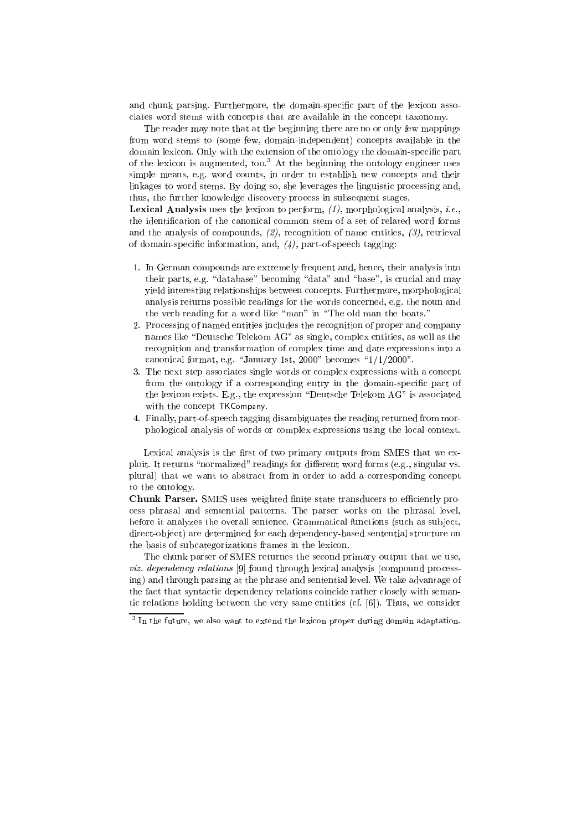and chunk parsing. Furthermore, the domain-specic part of the lexicon associates word stems with concepts that are available in the concept taxonomy.

The reader may note that at the beginning there are no or only few mappings from word stems to (some few, domain-independent) concepts available in the domain lexicon. Only with the extension of the ontology the domain-specific part of the lexicon is augmented, too.<sup>3</sup> At the beginning the ontology engineer uses simple means, e.g. word counts, in order to establish new concepts and their linkages to word stems. By doing so, she leverages the linguistic processing and, thus, the further knowledge discovery process in subsequent stages.

**Lexical Analysis** uses the lexicon to perform,  $(1)$ , morphological analysis, *i.e.*, the identification of the canonical common stem of a set of related word forms and the analysis of compounds,  $(2)$ , recognition of name entities,  $(3)$ , retrieval of domain-specific information, and,  $(4)$ , part-of-speech tagging:

- 1. In German compounds are extremely frequent and, hence, their analysis into their parts, e.g. "database" becoming "data" and "base", is crucial and may yield interesting relationships between concepts. Furthermore, morphological analysis returns possible readings for the words concerned, e.g. the noun and the verb reading for a word like "man" in "The old man the boats."
- 2. Processing of named entities includes the recognition of proper and company names like "Deutsche Telekom AG" as single, complex entities, as well as the recognition and transformation of complex time and date expressions into a canonical format, e.g. "January 1st, 2000" becomes " $1/1/2000$ ".
- 3. The next step associates single words or complex expressions with a concept from the ontology if a corresponding entry in the domain-specific part of the lexicon exists. E.g., the expression "Deutsche Telekom  $AG$ " is associated with the concept TKCompany.
- 4. Finally, part-of-speech tagging disambiguates the reading returned from morphological analysis of words or complex expressions using the local context.

Lexical analysis is the first of two primary outputs from SMES that we exploit. It returns "normalized" readings for different word forms (e.g., singular vs. plural) that we want to abstract from in order to add a corresponding concept to the ontology.

Chunk Parser. SMES uses weighted finite state transducers to efficiently process phrasal and sentential patterns. The parser works on the phrasal level, before it analyzes the overall sentence. Grammatical functions (such as subject, direct-ob ject) are determined for each dependency-based sentential structure on the basis of subcategorizations frames in the lexicon.

The chunk parser of SMES returnes the second primary output that we use, *viz. dependency relations* [9] found through lexical analysis (compound processing) and through parsing at the phrase and sentential level. We take advantage of the fact that syntactic dependency relations coincide rather closely with semantic relations holding between the very same entities (cf. [6]). Thus, we consider

 $^\circ$  In the future, we also want to extend the lexicon proper during domain adaptation.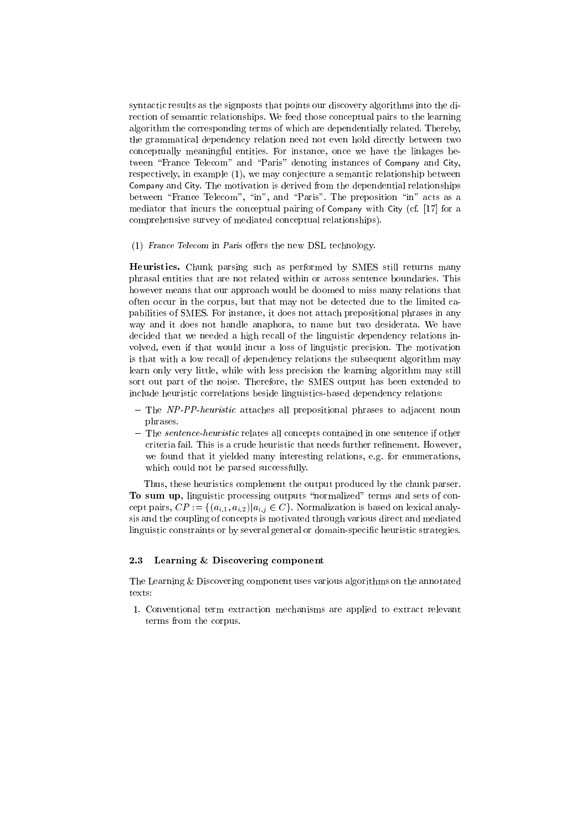syntactic results as the signposts that points our discovery algorithms into the direction of semantic relationships. We feed those conceptual pairs to the learning algorithm the corresponding terms of which are dependentially related. Thereby, the grammatical dependency relation need not even hold directly between two conceptually meaningful entities. For instance, once we have the linkages between "France Telecom" and "Paris" denoting instances of Company and City, respectively, in example (1), we may conjecture a semantic relationship between Company and City. The motivation is derived from the dependential relationships between "France Telecom", "in", and "Paris". The preposition "in" acts as a mediator that incurs the conceptual pairing of Company with City (cf. [17] for a comprehensive survey of mediated conceptual relationships).

(1) France Telecom in Paris offers the new DSL technology.

**Heuristics.** Chunk parsing such as performed by SMES still returns many phrasal entities that are not related within or across sentence boundaries. This however means that our approach would be doomed to miss many relations that often occur in the corpus, but that may not be detected due to the limited capabilities of SMES. For instance, it does not attach prepositional phrases in any way and it does not handle anaphora, to name but two desiderata. We have decided that we needed a high recall of the linguistic dependency relations in volved, even if that would incur <sup>a</sup> loss of linguistic precision. The motivation is that with a low recall of dependency relations the subsequent algorithm may learn only very little, while with less precision the learning algorithm may still sort out part of the noise. Therefore, the SMES output has been extended to include heuristic correlations beside linguistics-based dependency relations:

- ${\rm -The}$  *NP-PP-heuristic* attaches all prepositional phrases to adjacent noun phrases.
- ${\rm -The\,\,}sentence\text{-}heuristic$  relates all concepts contained in one sentence if other criteria fail. This is a crude heuristic that needs further refinement. However, we found that it <sup>y</sup>ielded many interesting relations, e.g. for enumerations, which could not be parsed successfully.

Thus, these heuristics complement the output produced by the chunk parser. To sum up, linguistic processing outputs "normalized" terms and sets of concept pairs,  $CP := \{(a_{i,1}, a_{i,2}) | a_{i,j} \in C\}$ . Normalization is based on lexical analysis and the coupling of concepts is motivated through various direct and mediated linguistic constraints or by several general or domain-specic heuristic strategies.

## 2.3 Learning & Discovering component

The Learning & Discovering component uses various algorithms on the annotated texts:

1. Conventional term extraction mechanisms are applied to extract relevant terms from the corpus.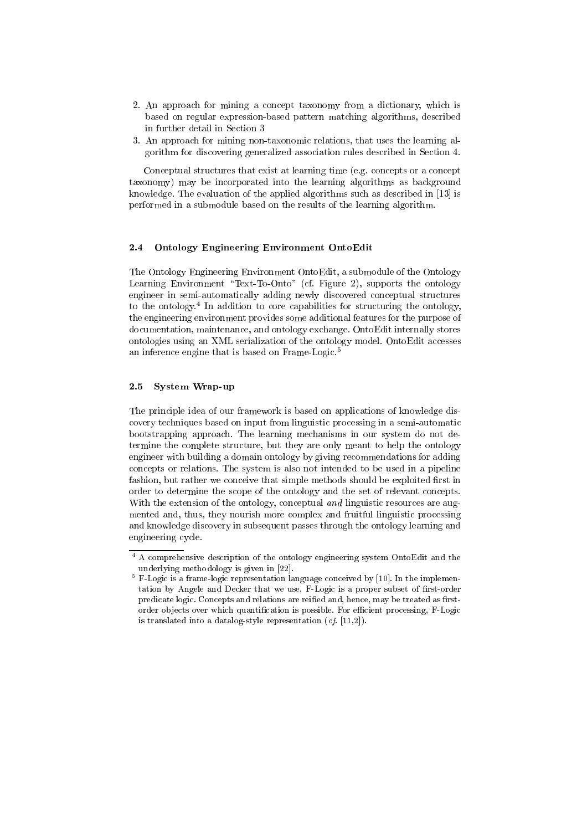- 2. An approach for mining a concept taxonomy from a dictionary, which is based on regular expression-based pattern matching algorithms, described in further detail in Section 3
- 3. An approach for mining non-taxonomic relations, that uses the learning algorithm for discovering generalized association rules described in Section 4.

Conceptual structures that exist at learning time (e.g. concepts or a concept taxonomy) may be incorporated into the learning algorithms as background knowledge. The evaluation of the applied algorithms such as described in [13] is performed in a submodule based on the results of the learning algorithm.

### 2.4Ontology Engineering Environment OntoEdit

The Ontology Engineering Environment OntoEdit, a submodule of the Ontology Learning Environment "Text-To-Onto" (cf. Figure 2), supports the ontology engineer in semi-automatically adding newly discovered conceptual structures to the ontology. In addition to core capabilities for structuring the ontology, the engineering environment provides some additional features for the purpose of documentation, maintenance, and ontology exchange. OntoEdit internally stores ontologies using an XML serialization of the ontology model. OntoEdit accesses an inference engine that is based on Frame-Logic.<sup>5</sup>

### 2.5System Wrap-up

The principle idea of our framework is based on applications of knowledge discovery techniques based on input from linguistic processing in a semi-automatic bootstrapping approach. The learning mechanisms in our system do not determine the complete structure, but they are only meant to help the ontology engineer with building a domain ontology by giving recommendations for adding concepts or relations. The system is also not intended to be used in a pipeline fashion, but rather we conceive that simple methods should be exploited first in order to determine the scope of the ontology and the set of relevant concepts. With the extension of the ontology, conceptual and linguistic resources are augmented and, thus, they nourish more complex and fruitful linguistic processing and knowledge discovery in subsequent passes through the ontology learning and engineering cycle.

<sup>4</sup> A comprehensive description of the ontology engineering system OntoEdit and the

 $\frac{5}{5}$  F-Logic is a frame-logic representation language conceived by [10]. In the implementation by Angele and Decker that we use, F-Logic is a proper subset of first-order predicate logic. Concepts and relations are reified and, hence, may be treated as firstorder objects over which quantification is possible. For efficient processing, F-Logic is translated into a datalog-style representation  $(cf. [11,2])$ .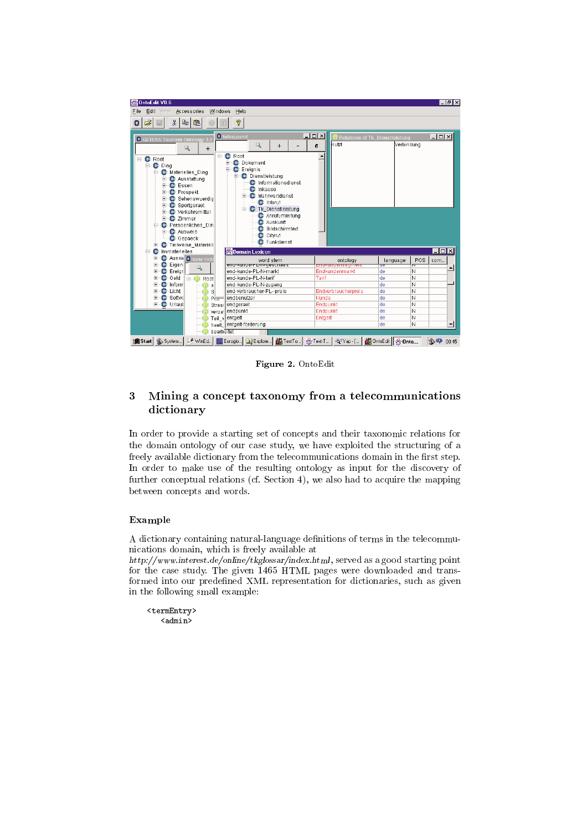| <b>Control dit VO.6</b>                                                                                                                                                                                                                                                                                                                             |                                                                                                                                                                                                                                                                                                                       |                                                                         |            | $\blacksquare$ $\blacksquare$ $\times$ |  |  |
|-----------------------------------------------------------------------------------------------------------------------------------------------------------------------------------------------------------------------------------------------------------------------------------------------------------------------------------------------------|-----------------------------------------------------------------------------------------------------------------------------------------------------------------------------------------------------------------------------------------------------------------------------------------------------------------------|-------------------------------------------------------------------------|------------|----------------------------------------|--|--|
| Edit View<br>Accessories<br>Windows<br>File                                                                                                                                                                                                                                                                                                         | Help                                                                                                                                                                                                                                                                                                                  |                                                                         |            |                                        |  |  |
| X,<br>电色<br>É                                                                                                                                                                                                                                                                                                                                       | Ŷ                                                                                                                                                                                                                                                                                                                     |                                                                         |            |                                        |  |  |
| <b>O</b> GETESS Tourism Ontology 3.0<br>$\mathbf{Q}$<br>$+$<br>$\Box$<br>⊟-C Root<br>⊟ C Ding<br><b>C</b> Materielles_Ding<br>Ėŀ<br>C Ausstattung<br>$\overline{+}$<br>C Essen<br>$\overline{+}$<br>C Prospekt<br><b>C</b> Sehenswuerdig<br>C Sportgeraet<br>C Verkehrsmittel<br><b>C</b> Zimmer<br>F-<br><b>C</b> Persoenliches Din<br>E C Ausweis | $\bullet$ telko.oxml<br>$\overline{\mathcal{L}}$<br>$+$<br><b>C</b> Root<br>C Dokument<br>F.<br><b>C</b> Ereignis<br>F.<br><b>C</b> Dienstleistung<br>Informationsdienst<br>Inkasso<br>Mehrwertdienst<br><b>C</b> Inforuf<br>C Tk Dienstleistung<br><b>C</b> Anrufumleitung<br>Auskunft<br>e<br><b>Bildschirmtext</b> | $  D $ $\times$<br><b>Relations of Tk Dienstleistung</b><br>Inutzt<br>e | Verbinduna | 그미지                                    |  |  |
| C Gepaeck<br>C Teilweise Materiell                                                                                                                                                                                                                                                                                                                  | Cityruf<br>c<br><b>C</b> Funkdienst                                                                                                                                                                                                                                                                                   |                                                                         |            |                                        |  |  |
| Immaterielles<br>е                                                                                                                                                                                                                                                                                                                                  | <b>Domain Lexicon</b>                                                                                                                                                                                                                                                                                                 |                                                                         |            | $\Box$ o $\times$                      |  |  |
| C Aussi O New Ont<br>$\overline{+}$                                                                                                                                                                                                                                                                                                                 | word stem                                                                                                                                                                                                                                                                                                             | ontology                                                                | language   | POS<br>com                             |  |  |
| $C$ Eigen $\Gamma$<br>$\overline{+}$<br>$\overline{\mathcal{L}}$                                                                                                                                                                                                                                                                                    | eno-konoe-ric-iv-geschaen:                                                                                                                                                                                                                                                                                            | enukunuenseument                                                        | ਰਦ         | ाप<br>$\blacktriangle$                 |  |  |
| <b>C</b> Ereign<br>$\overline{+}$                                                                                                                                                                                                                                                                                                                   | end-kunde-PL-N-markt                                                                                                                                                                                                                                                                                                  | Endkundenmarkt                                                          | de         | N                                      |  |  |
| <b>C</b> Geld<br>$\overline{+}$<br>Root<br>$\Box$                                                                                                                                                                                                                                                                                                   | end-kunde-PL-N-tarif                                                                                                                                                                                                                                                                                                  | Tarif                                                                   | de         | N                                      |  |  |
| E-C Inform<br>a                                                                                                                                                                                                                                                                                                                                     | end-kunde-PL-N-zugang                                                                                                                                                                                                                                                                                                 |                                                                         | de         | N                                      |  |  |
| ⊞- C Licht<br>s                                                                                                                                                                                                                                                                                                                                     | end-verbraucher-PL--preis                                                                                                                                                                                                                                                                                             | Endverbraucherpreis                                                     | de         | N                                      |  |  |
| E-C Softwa<br>Ptz                                                                                                                                                                                                                                                                                                                                   | lendbenutzer                                                                                                                                                                                                                                                                                                          | Kunde                                                                   | de         | N                                      |  |  |
| E-C Urlaut                                                                                                                                                                                                                                                                                                                                          | Stras: endgeraet                                                                                                                                                                                                                                                                                                      | Endpunkt                                                                | de         | N                                      |  |  |
|                                                                                                                                                                                                                                                                                                                                                     | veroe endpunkt                                                                                                                                                                                                                                                                                                        | Endpunkt                                                                | de         | N                                      |  |  |
|                                                                                                                                                                                                                                                                                                                                                     | Teil y entgelt                                                                                                                                                                                                                                                                                                        | Entgelt                                                                 | de         | N                                      |  |  |
|                                                                                                                                                                                                                                                                                                                                                     | haelt entgelt-forderung                                                                                                                                                                                                                                                                                               |                                                                         | de         | N<br>$\blacktriangledown$              |  |  |
| bearbeitet                                                                                                                                                                                                                                                                                                                                          |                                                                                                                                                                                                                                                                                                                       |                                                                         |            |                                        |  |  |
| Start   System   4 WinEd   Euroglo   QJ Explore                                                                                                                                                                                                                                                                                                     |                                                                                                                                                                                                                                                                                                                       | S TextTo   <a> Text-T   -aVI Yap - [   ※OntoEdit   ※Onto</a>            |            | 第9 00:45                               |  |  |

Figure 2. OntoEdit

### 3 Mining <sup>a</sup> concept taxonomy from <sup>a</sup> telecommunications dictionary

In order to provide a starting set of concepts and their taxonomic relations for the domain ontology of our case study, we have exploited the structuring of a freely available dictionary from the telecommunications domain in the first step. In order to make use of the resulting ontology as input for the discovery of further conceptual relations (cf. Section 4), we also had to acquire the mapping between concepts and words.

# Example

A dictionary containing natural-language denitions of terms in the telecommu nications domain, which is freely available at

http://www.interest.de/online/tkglossar/index.html , served as a good starting point for the case study. The given 1465 HTML pages were downloaded and transformed into our predefined XML representation for dictionaries, such as given in the following small example:

<termEntry>  $<$ admin $>$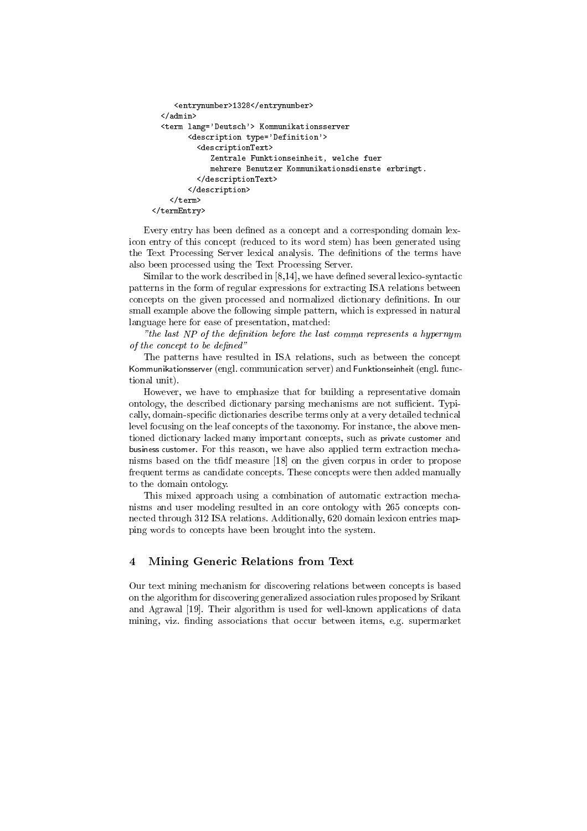```
<entrynumber>1328</entrynumber>\langle/admin>
</admin><term lang='Deutsch'> Kommunikationsserver
     <description type='Definition'>
       <descriptionText>Zentrale Funktionseinheit, welche fuer
          mense benutzer Benutzer Kommunikationsdienste erbringt.
       </descriptionText></description></term></termEntry>
```
Every entry has been defined as a concept and a corresponding domain lexicon entry of this concept (reduced to its word stem) has been generated using the Text Processing Server lexical analysis. The definitions of the terms have also been processed using the Text Processing Server.

Similar to the work described in  $[8,14]$ , we have defined several lexico-syntactic patterns in the form of regular expressions for extracting ISA relations between concepts on the given processed and normalized dictionary definitions. In our small example above the following simple pattern, which is expressed in natural language here for ease of presentation, matched:

"the last  $NP$  of the definition before the last comma represents a hypernym of the concept to be defined"

The patterns have resulted in ISA relations, such as between the concept Kommunikationsserver (engl. communication server) and Funktionseinheit (engl. functional unit).

However, we have to emphasize that for building a representative domain ontology, the described dictionary parsing mechanisms are not sufficient. Typically, domain-specic dictionaries describe terms only at a very detailed technical level focusing on the leaf concepts of the taxonomy. For instance, the above mentioned dictionary lacked many important concepts, such as private customer and business customer. For this reason, we have also applied term extraction mechanisms based on the tdf measure [18] on the given corpus in order to propose frequent terms as candidate concepts. These concepts were then added manually to the domain ontology.

This mixed approach using a combination of automatic extraction mechanisms and user modeling resulted in an core ontology with 265 concepts connected through 312 ISA relations. Additionally, 620 domain lexicon entries mapping words to concepts have been brought into the system.

### 4Mining Generic Relations from Text

Our text mining mechanism for discovering relations between concepts is based on the algorithm for discovering generalized association rules proposed by Srikant and Agrawal [19]. Their algorithm is used for well-known applications of data mining, viz. finding associations that occur between items, e.g. supermarket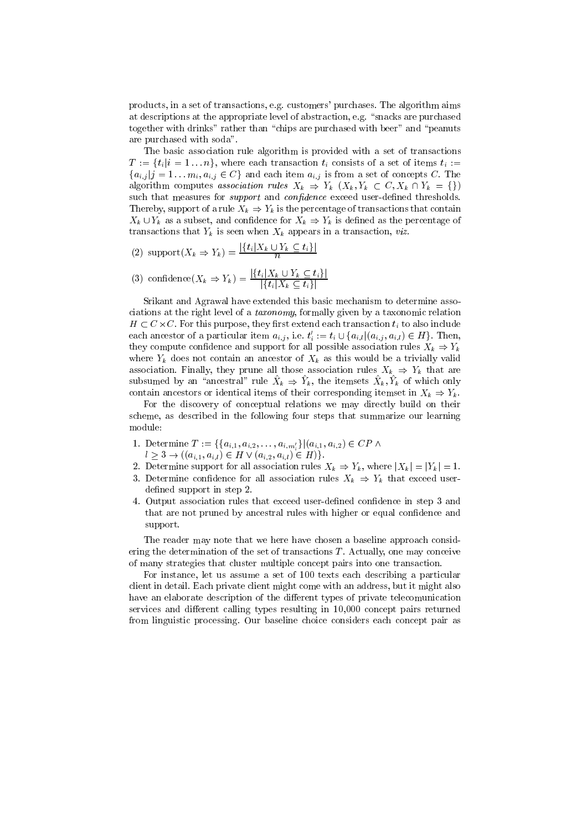products, in a set of transactions, e.g. customers' purchases. The algorithm aims at descriptions at the appropriate level of abstraction, e.g. "snacks are purchased together with drinks" rather than "chips are purchased with beer" and "peanuts are purchased with soda".

The basic association rule algorithm is provided with a set of transactions  $T := \{t_i | i = 1 \ldots n\}$ , where each transaction  $t_i$  consists of a set of items  $t_i :=$  ${a_{i,j}} | j = 1 \dots m_i, a_{i,j} \in C$  and each item  $a_{i,j}$  is from a set of concepts C. The algorithm computes association rules  $X_k \Rightarrow Y_k (X_k, Y_k \subset C, X_k \cap Y_k = \{\})$ such that measures for *support* and *confidence* exceed user-defined thresholds. Thereby, support of a rule  $X_k \Rightarrow Y_k$  is the percentage of transactions that contain  $X_k \cup Y_k$  as a subset, and confidence for  $X_k \Rightarrow Y_k$  is defined as the percentage of transactions that  $Y_k$  is seen when  $X_k$  appears in a transaction, *viz.* 

(2)  $\text{support}(X_k \Rightarrow Y_k) = \frac{|\{t_i | X_k \cup Y_k \subseteq t_i\}|}{n}$ (3) confidence  $(X_k \Rightarrow Y_k) = \frac{|\{t_i | X_k \cup Y_k \subseteq t_i\}|}{|X_k - t_i|}$ 

$$
(3) \ \ \text{confidence}(X_k \Rightarrow Y_k) = \frac{\prod_{i=1}^{k} X_k \cup I_k}{|\{t_i | X_k \subseteq t_i\}|}
$$

Srikant and Agrawal have extended this basic mechanism to determine associations at the right level of a taxonomy, formally given by a taxonomic relation  $H\subset C\times C.$  For this purpose, they first extend each transaction  $t_i$  to also include each ancestor of a particular item  $a_{i,j}$ , i.e.  $t'_i := t_i \cup \{a_{i,l} | (a_{i,j}, a_{i,l}) \in H\}$ . Then, they compute confidence and support for all possible association rules  $X_k \Rightarrow Y_k$ where  $Y_k$  does not contain an ancestor of  $X_k$  as this would be a trivially valid association. Finally, they prune all those association rules  $X_k \Rightarrow Y_k$  that are subsumed by an "ancestral" rule  $X_k \Rightarrow Y_k$ , the itemsets  $X_k, Y_k$  of which only contain ancestors or identical items of their corresponding itemset in  $X_k \Rightarrow Y_k$ .

For the discovery of conceptual relations we may directly build on their scheme, as described in the following four steps that summarize our learning module:

- 1. Determine  $T := \{ \{a_{i,1}, a_{i,2}, \ldots, a_{i,m_i'}\} | (a_{i,1}, a_{i,2}) \in CP \land \}$  $l \geq 3 \rightarrow ((a_{i,1}, a_{i,l}) \in H \vee (a_{i,2}, a_{i,l}) \in H).$
- 2. Determine support for all association rules  $X_k \Rightarrow Y_k$ , where  $|X_k| = |Y_k| = 1$ .
- 3. Determine confidence for all association rules  $X_k \Rightarrow Y_k$  that exceed userdefined support in step 2.
- 4. Output association rules that exceed user-defined confidence in step 3 and that are not pruned by ancestral rules with higher or equal confidence and support.

The reader may note that we here have chosen a baseline approach considering the determination of the set of transactions  $T$ . Actually, one may conceive of many strategies that cluster multiple concept pairs into one transaction.

For instance, let us assume a set of 100 texts each describing a particular client in detail. Each private client might come with an address, but it might also have an elaborate description of the different types of private telecomunication services and different calling types resulting in 10,000 concept pairs returned from linguistic processing. Our baseline choice considers each concept pair as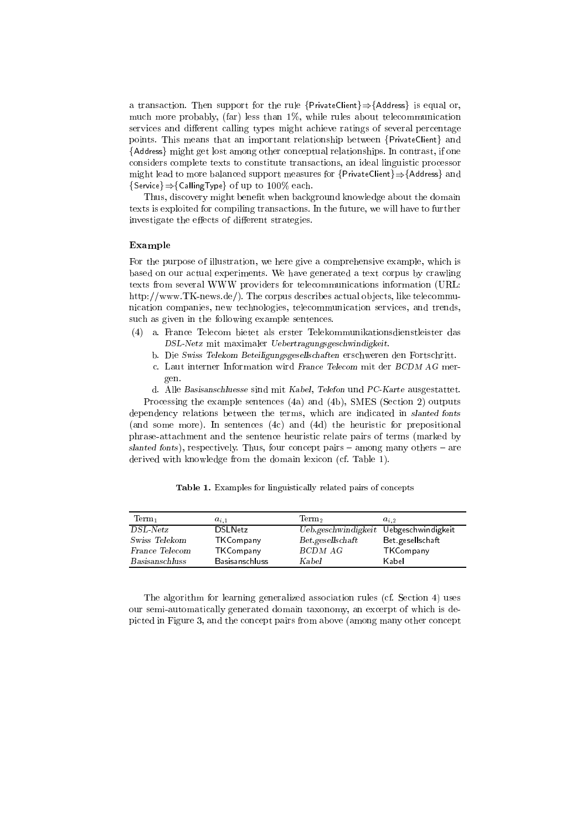a transaction. Then support for the rule {PrivateClient} $\Rightarrow$ {Address} is equal or, much more probably, (far) less than  $1\%$ , while rules about telecommunication services and different calling types might achieve ratings of several percentage points. This means that an important relationship between {PrivateClient} and  $\{Address\}$  might get lost among other conceptual relationships. In contrast, if one considers complete texts to constitute transactions, an ideal linguistic processor might lead to more balanced support measures for  $\{PrivateClient\} \Rightarrow \{Address\}$  and  $\{\text{Service}\}\Rightarrow\{\text{CallingType}\}\$  of up to  $100\%$  each.

Thus, discovery might benefit when background knowledge about the domain texts is exploited for compiling transactions. In the future, we will have to further investigate the effects of different strategies.

## Example

For the purpose of illustration, we here give a comprehensive example, which is based on our actual experiments. We have generated a text corpus by crawling texts from several WWW providers for telecommunications information (URL: http://www.TK-news.de/). The corpus describes actual objects, like telecommunication companies, new technologies, telecommunication services, and trends, such as given in the following example sentences.

- (4) a. France Telecom bietet als erster Telekommunikationsdienstleister das DSL-Netz mit maximaler Uebertragungsgeschwindigkeit.
	- b. Die Swiss Telekom Beteiligungsgesellschaften erschweren den Fortschritt.
	- c. Laut interner Information wird France Telecom mit der BCDM AG mergen.
	- d. Alle Basisanschluesse sind mit Kabel, Telefon und PC-Karte ausgestattet.

Processing the example sentences (4a) and (4b), SMES (Section 2) outputs dependency relations between the terms, which are indicated in slanted fonts (and some more). In sentences (4c) and (4d) the heuristic for prepositional phrase-attachment and the sentence heuristic relate pairs of terms (marked by slanted fonts), respectively. Thus, four concept pairs  $-$  among many others  $-$  are derived with knowledge from the domain lexicon (cf. Table 1).

Table 1. Examples for linguistically related pairs of concepts

| $\mathrm{Term}_1$ | $a_{i,1}$             | Term                                   | $a_{i,2}$        |
|-------------------|-----------------------|----------------------------------------|------------------|
| DSL-Netz          | <b>DSLNetz</b>        | Ueb geschwindigkeit Uebgeschwindigkeit |                  |
| Swiss Telekom     | TKCompany             | Bet.gesellschaft                       | Bet gesellschaft |
| France Telecom    | TKCompany             | BCDM AG                                | TKCompany        |
| Basisanschluss    | <b>Basisanschluss</b> | Kabel                                  | Kabel            |

The algorithm for learning generalized association rules (cf. Section 4) uses our semi-automatically generated domain taxonomy, an excerpt of which is depicted in Figure 3, and the concept pairs from above (among many other concept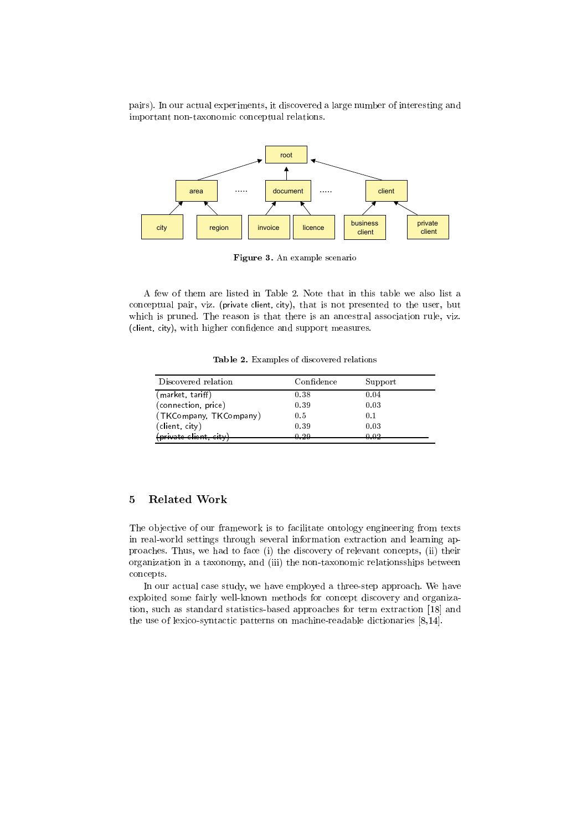pairs). In our actual experiments, it discovered a large number of interesting and important non-taxonomic conceptual relations.



Figure 3. An example scenario

A few of them are listed in Table 2. Note that in this table we also list a conceptual pair, viz. (private client, city), that is not presented to the user, but which is pruned. The reason is that there is an ancestral association rule, viz. (client, city), with higher confidence and support measures.

Table 2. Examples of discovered relations

| Discovered relation                           | Confidence           | Support             |
|-----------------------------------------------|----------------------|---------------------|
| (market, tariff)                              | 0.38                 | 0.04                |
| (connection, price)                           | 0.39                 | 0.03                |
| (TKCompany, TKCompany)                        | 0.5                  | 0.1                 |
| (client, city)                                | 0.39                 | 0.03                |
| البرازم خومناه معديست<br>private enemy, enty, | റ ററ<br>. <i>. .</i> | റ റ<br>. <i>. .</i> |

## <sup>5</sup> Related Work

The objective of our framework is to facilitate ontology engineering from texts in real-world settings through several information extraction and learning approaches. Thus, we had to face (i) the discovery of relevant concepts, (ii) their organization in a taxonomy, and (iii) the non-taxonomic relationsships between concepts.

In our actual case study, we have employed a three-step approach. We have exploited some fairly well-known methods for concept discovery and organization, such as standard statistics-based approaches for term extraction [18] and the use of lexico-syntactic patterns on machine-readable dictionaries [8,14].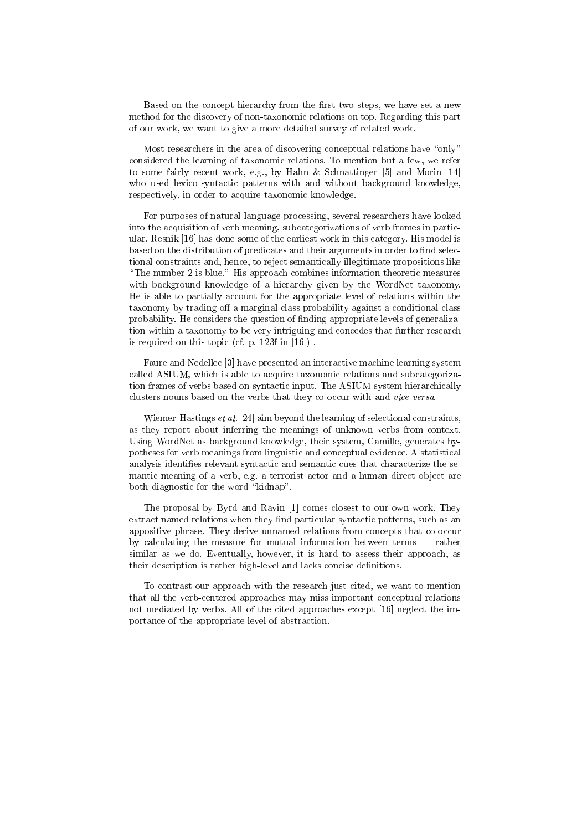Based on the concept hierarchy from the first two steps, we have set a new method for the discovery of non-taxonomic relations on top. Regarding this part of our work, we want to give a more detailed survey of related work.

Most researchers in the area of discovering conceptual relations have "only" considered the learning of taxonomic relations. To mention but a few, we refer to some fairly recent work, e.g., by Hahn & Schnattinger [5] and Morin [14] who used lexico-syntactic patterns with and without background knowledge, respectively, in order to acquire taxonomic knowledge.

For purposes of natural language processing, several researchers have looked into the acquisition of verb meaning, subcategorizations of verb frames in particular. Resnik [16] has done some of the earliest work in this category. His model is based on the distribution of predicates and their arguments in order to find selectional constraints and, hence, to reject semantically illegitimate propositions like "The number 2 is blue." His approach combines information-theoretic measures with background knowledge of a hierarchy given by the WordNet taxonomy. He is able to partially account for the appropriate level of relations within the taxonomy by trading off a marginal class probability against a conditional class probability. He considers the question of nding appropriate levels of generalization within a taxonomy to be very intriguing and concedes that further research is required on this topic (cf. p. 123f in  $[16]$ ).

Faure and Nedellec [3] have presented an interactive machine learning system called ASIUM, which is able to acquire taxonomic relations and subcategorization frames of verbs based on syntactic input. The ASIUM system hierarchically clusters nouns based on the verbs that they co-occur with and vice versa.

Wiemer-Hastings et al. [24] aim beyond the learning of selectional constraints, as they report about inferring the meanings of unknown verbs from context. Using WordNet as background knowledge, their system, Camille, generates hypotheses for verb meanings from linguistic and conceptual evidence. A statistical analysis identies relevant syntactic and semantic cues that characterize the semantic meaning of a verb, e.g. a terrorist actor and a human direct object are both diagnostic for the word "kidnap".

The proposal by Byrd and Ravin [1] comes closest to our own work. They extract named relations when they find particular syntactic patterns, such as an appositive phrase. They derive unnamed relations from concepts that co-occur by calculating the measure for mutual information between terms  $-$  rather similar as we do. Eventually, however, it is hard to assess their approach, as their description is rather high-level and lacks concise definitions.

To contrast our approach with the research just cited, we want to mention that all the verb-centered approaches may miss important conceptual relations not mediated by verbs. All of the cited approaches except [16] neglect the importance of the appropriate level of abstraction.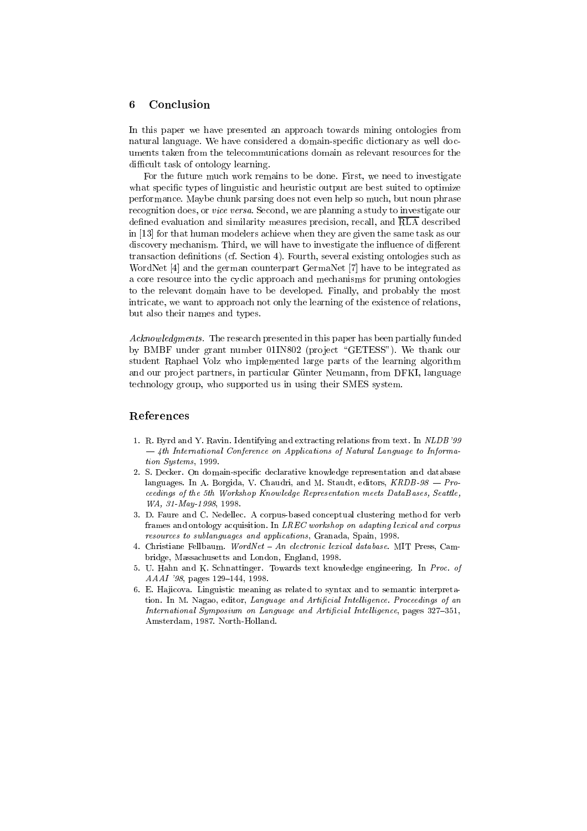### Conclusion 6

In this paper we have presented an approach towards mining ontologies from natural language. We have considered a domain-specic dictionary as well documents taken from the telecommunications domain as relevant resources for the difficult task of ontology learning.

For the future much work remains to be done. First, we need to investigate what specific types of linguistic and heuristic output are best suited to optimize performance. Maybe chunk parsing does not even help so much, but noun phrase recognition does, or *vice versa*. Second, we are planning a study to investigate our defined evaluation and similarity measures precision, recall, and  $\overline{\text{RLA}}$  described in [13] for that human modelers achieve when they are given the same task as our discovery mechanism. Third, we will have to investigate the influence of different transaction definitions (cf. Section 4). Fourth, several existing ontologies such as WordNet [4] and the german counterpart GermaNet [7] have to be integrated as a core resource into the cyclic approach and mechanisms for pruning ontologies to the relevant domain have to be developed. Finally, and probably the most intricate, we want to approach not only the learning of the existence of relations, but also their names and types.

Acknowledgments. The research presented in this paper has been partially funded by BMBF under grant number 01IN802 (project "GETESS"). We thank our student Raphael Volz who implemented large parts of the learning algorithm and our project partners, in particular Günter Neumann, from DFKI, language technology group, who supported us in using their SMES system.

## References

- 1. R. Byrd and Y. Ravin. Identifying and extracting relations from text. In NLDB'99  $\frac{1}{4}$ th International Conference on Applications of Natural Language to Information Systems, 1999.
- 2. S. Decker. On domain-specic declarative knowledge representation and database languages. In A. Borgida, V. Chaudri, and M. Staudt, editors,  $KRDB-98 = Pro$ ceedings of the 5th Workshop Knowledge Representation meets DataBases, Seattle, WA, 31-May-1998, 1998.
- 3. D. Faure and C. Nedellec. A corpus-based conceptual clustering method for verb frames and ontology acquisition. In LREC workshop on adapting lexical and corpus resources to sublanguages and applications, Granada, Spain, 1998.
- 4. Christiane Fellbaum. WordNet An electronic lexical database. MIT Press, Cambridge, Massachusetts and London, England, 1998.
- 5. U. Hahn and K. Schnattinger. Towards text knowledge engineering. In Proc. of  $AAAI$  '98, pages 129-144, 1998.
- 6. E. Ha jicova. Linguistic meaning as related to syntax and to semantic interpretation. In M. Nagao, editor, Language and Artificial Intelligence. Proceedings of an International Symposium on Language and Artificial Intelligence, pages 327-351, Amsterdam, 1987. North-Holland.